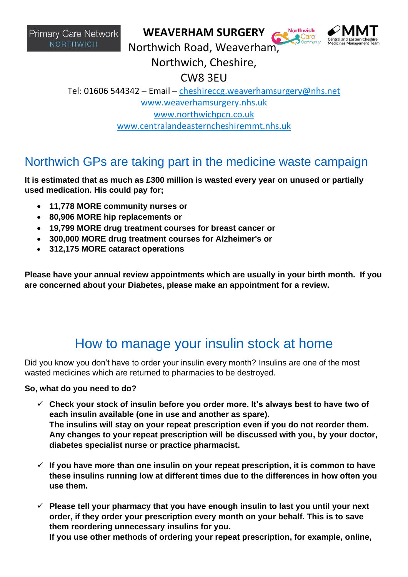**Primary Care Network NORTHWICH** 

#### **WEAVERHAM SURGERY**



**Northwich** 

Northwich Road, Weaverham,

Northwich, Cheshire,

CW8 3EU

Tel: 01606 544342 – Email – [cheshireccg.weaverhamsurgery@nhs.net](mailto:cheshireccg.weaverhamsurgery@nhs.net) [www.weaverhamsurgery.nhs.uk](http://www.weaverhamsurgery.nhs.uk/) [www.northwichpcn.co.uk](http://www.northwichpcn.co.uk/) [www.centralandeasterncheshiremmt.nhs.uk](http://www.centralandeasterncheshiremmt.nhs.uk/)

### Northwich GPs are taking part in the medicine waste campaign

**It is estimated that as much as £300 million is wasted every year on unused or partially used medication. His could pay for;**

- **11,778 MORE community nurses or**
- **80,906 MORE hip replacements or**
- **19,799 MORE drug treatment courses for breast cancer or**
- **300,000 MORE drug treatment courses for Alzheimer's or**
- **312,175 MORE cataract operations**

**Please have your annual review appointments which are usually in your birth month. If you are concerned about your Diabetes, please make an appointment for a review.**

# How to manage your insulin stock at home

Did you know you don't have to order your insulin every month? Insulins are one of the most wasted medicines which are returned to pharmacies to be destroyed.

#### **So, what do you need to do?**

- ✓ **Check your stock of insulin before you order more. It's always best to have two of each insulin available (one in use and another as spare). The insulins will stay on your repeat prescription even if you do not reorder them. Any changes to your repeat prescription will be discussed with you, by your doctor, diabetes specialist nurse or practice pharmacist.**
- ✓ **If you have more than one insulin on your repeat prescription, it is common to have these insulins running low at different times due to the differences in how often you use them.**
- ✓ **Please tell your pharmacy that you have enough insulin to last you until your next order, if they order your prescription every month on your behalf. This is to save them reordering unnecessary insulins for you. If you use other methods of ordering your repeat prescription, for example, online,**